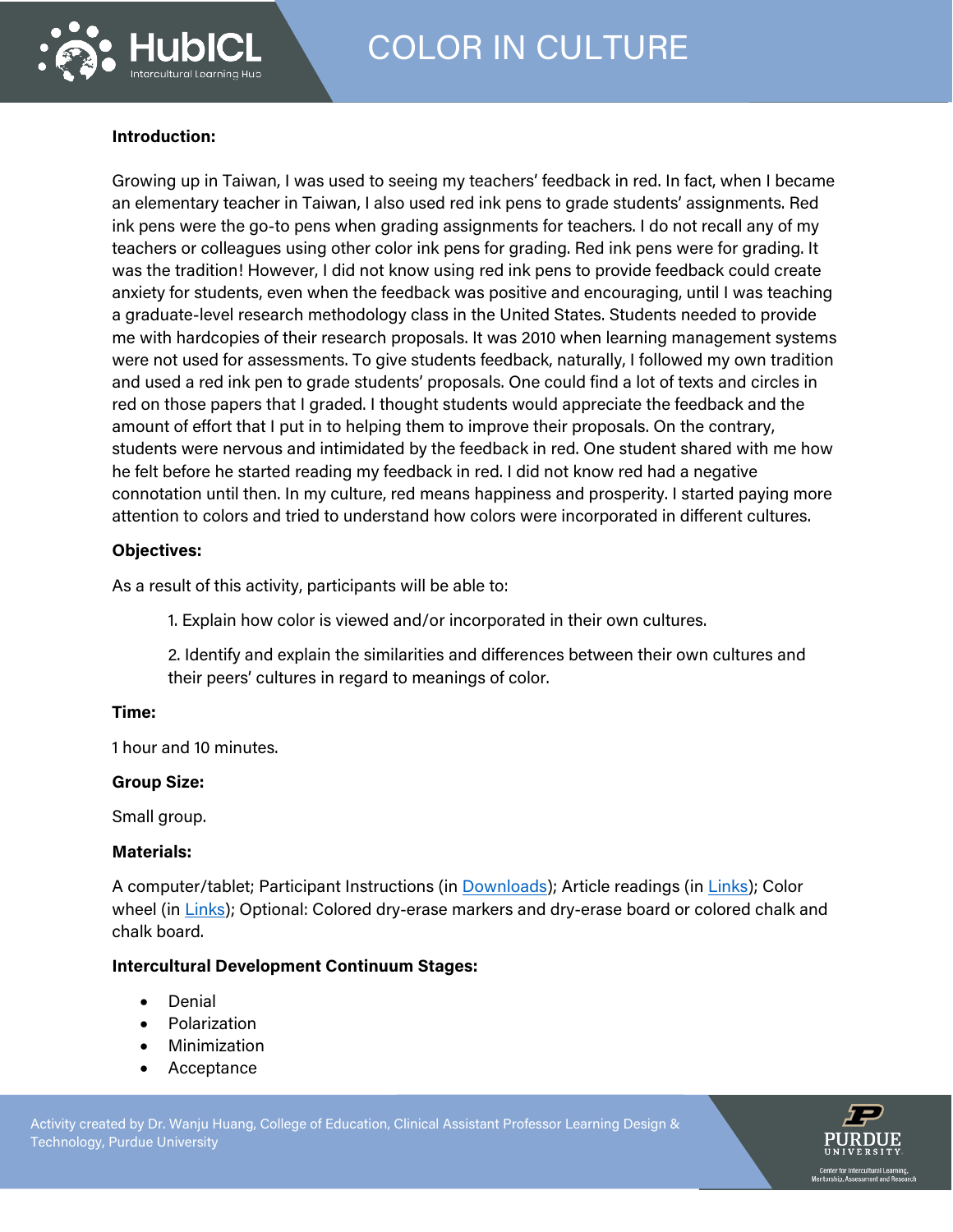

# **Introduction:**

Growing up in Taiwan, I was used to seeing my teachers' feedback in red. In fact, when I became an elementary teacher in Taiwan, I also used red ink pens to grade students' assignments. Red ink pens were the go-to pens when grading assignments for teachers. I do not recall any of my teachers or colleagues using other color ink pens for grading. Red ink pens were for grading. It was the tradition! However, I did not know using red ink pens to provide feedback could create anxiety for students, even when the feedback was positive and encouraging, until I was teaching a graduate-level research methodology class in the United States. Students needed to provide me with hardcopies of their research proposals. It was 2010 when learning management systems were not used for assessments. To give students feedback, naturally, I followed my own tradition and used a red ink pen to grade students' proposals. One could find a lot of texts and circles in red on those papers that I graded. I thought students would appreciate the feedback and the amount of effort that I put in to helping them to improve their proposals. On the contrary, students were nervous and intimidated by the feedback in red. One student shared with me how he felt before he started reading my feedback in red. I did not know red had a negative connotation until then. In my culture, red means happiness and prosperity. I started paying more attention to colors and tried to understand how colors were incorporated in different cultures.

## **Objectives:**

As a result of this activity, participants will be able to:

1. Explain how color is viewed and/or incorporated in their own cultures.

2. Identify and explain the similarities and differences between their own cultures and their peers' cultures in regard to meanings of color.

## **Time:**

1 hour and 10 minutes.

## **Group Size:**

Small group.

## **Materials:**

A computer/tablet; Participant Instructions (in [Downloads\)](https://hubicl.org/toolbox/tools/871/objectives); Article readings (in [Links\)](https://hubicl.org/toolbox/tools/871/links); Color wheel (in [Links\)](https://hubicl.org/toolbox/tools/871/links); Optional: Colored dry-erase markers and dry-erase board or colored chalk and chalk board.

## **Intercultural Development Continuum Stages:**

- Denial
- Polarization
- Minimization
- **Acceptance**

Activity created by Dr. Wanju Huang, College of Education, Clinical Assistant Professor Learning Design & Technology, Purdue University **Propriet Act of Act of Act of Act of Act of Act of Act of Act of Act of Act of** 

https://blog.experientialtools.com/2013/10/17/communication-focused-activities-particles-particles-particles-

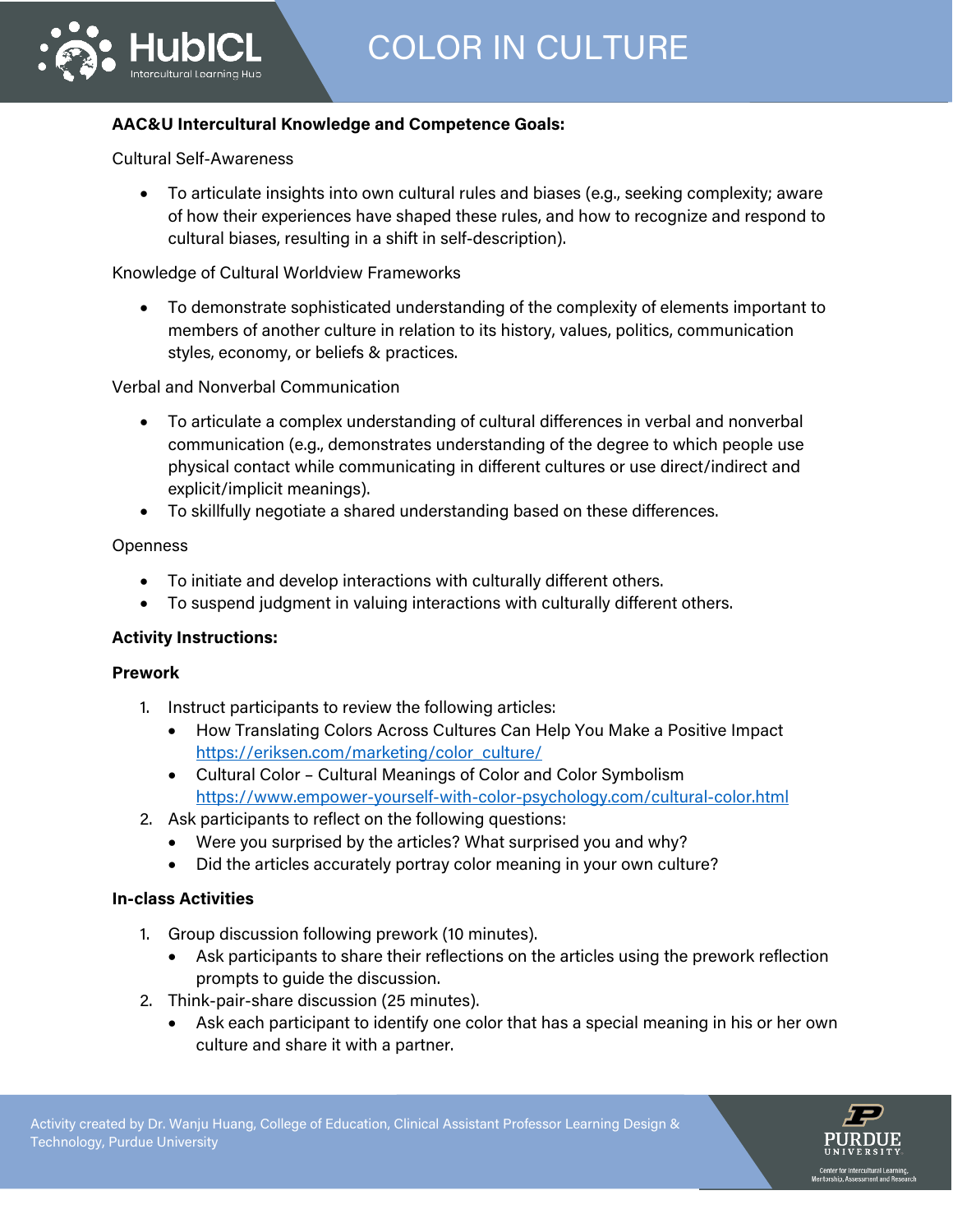# **AAC&U Intercultural Knowledge and Competence Goals:**

Cultural Self-Awareness

• To articulate insights into own cultural rules and biases (e.g., seeking complexity; aware of how their experiences have shaped these rules, and how to recognize and respond to cultural biases, resulting in a shift in self-description).

Knowledge of Cultural Worldview Frameworks

• To demonstrate sophisticated understanding of the complexity of elements important to members of another culture in relation to its history, values, politics, communication styles, economy, or beliefs & practices.

# Verbal and Nonverbal Communication

- To articulate a complex understanding of cultural differences in verbal and nonverbal communication (e.g., demonstrates understanding of the degree to which people use physical contact while communicating in different cultures or use direct/indirect and explicit/implicit meanings).
- To skillfully negotiate a shared understanding based on these differences.

# **Openness**

- To initiate and develop interactions with culturally different others.
- To suspend judgment in valuing interactions with culturally different others.

# **Activity Instructions:**

## **Prework**

- 1. Instruct participants to review the following articles:
	- How Translating Colors Across Cultures Can Help You Make a Positive Impact [https://eriksen.com/marketing/color\\_culture/](https://eriksen.com/marketing/color_culture/)
	- Cultural Color Cultural Meanings of Color and Color Symbolism <https://www.empower-yourself-with-color-psychology.com/cultural-color.html>
- 2. Ask participants to reflect on the following questions:
	- Were you surprised by the articles? What surprised you and why?

https://blog.experientialtools.com/2013/10/17/communication-focused-activities-particles-particles-particles-

• Did the articles accurately portray color meaning in your own culture?

## **In-class Activities**

- 1. Group discussion following prework (10 minutes).
	- Ask participants to share their reflections on the articles using the prework reflection prompts to guide the discussion.
- 2. Think-pair-share discussion (25 minutes).
	- Ask each participant to identify one color that has a special meaning in his or her own culture and share it with a partner.

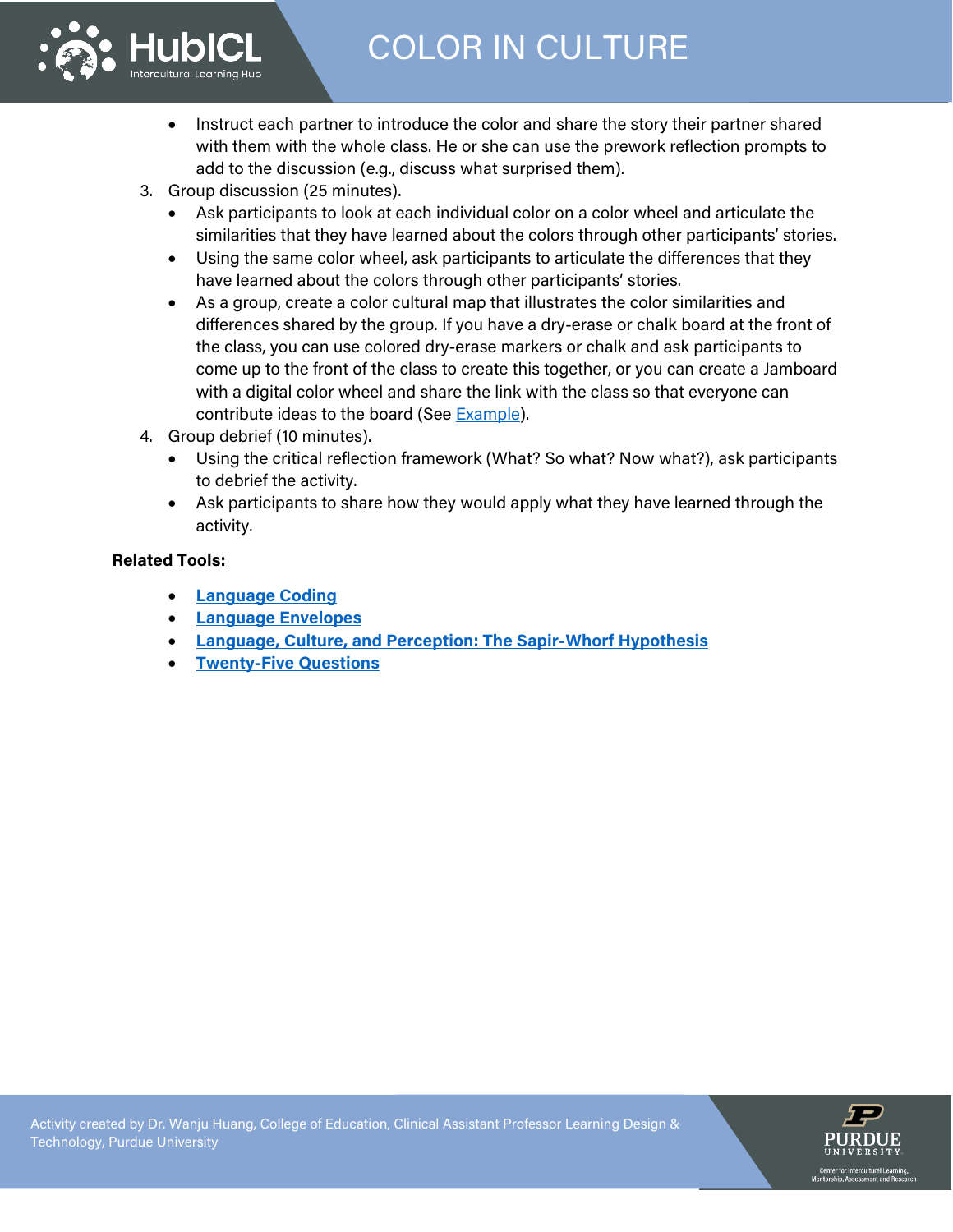# COLOR IN CULTURE



- Instruct each partner to introduce the color and share the story their partner shared with them with the whole class. He or she can use the prework reflection prompts to add to the discussion (e.g., discuss what surprised them).
- 3. Group discussion (25 minutes).
	- Ask participants to look at each individual color on a color wheel and articulate the similarities that they have learned about the colors through other participants' stories.
	- Using the same color wheel, ask participants to articulate the differences that they have learned about the colors through other participants' stories.
	- As a group, create a color cultural map that illustrates the color similarities and differences shared by the group. If you have a dry-erase or chalk board at the front of the class, you can use colored dry-erase markers or chalk and ask participants to come up to the front of the class to create this together, or you can create a Jamboard with a digital color wheel and share the link with the class so that everyone can contribute ideas to the board (See [Example\)](https://jamboard.google.com/d/1xAdsyfYG4b0HEO7TRwlgkxtPKkLkWSY-KW8s2BHjH4U/edit?usp=sharing).
- 4. Group debrief (10 minutes).
	- Using the critical reflection framework (What? So what? Now what?), ask participants to debrief the activity.
	- Ask participants to share how they would apply what they have learned through the activity.

# **Related Tools:**

- **[Language Coding](https://hubicl.org/toolbox/tools/773/objectives)**
- **[Language Envelopes](https://hubicl.org/toolbox/tools/42/objectives)**
- **[Language, Culture, and Perception: The Sapir-Whorf Hypothesis](https://hubicl.org/toolbox/tools/288/objectives)**
- **[Twenty-Five Questions](https://hubicl.org/toolbox/tools/288/objectives)**



https://blog.experientialtools.com/2013/10/17/communication-focused-activities-particles-particles-particles-